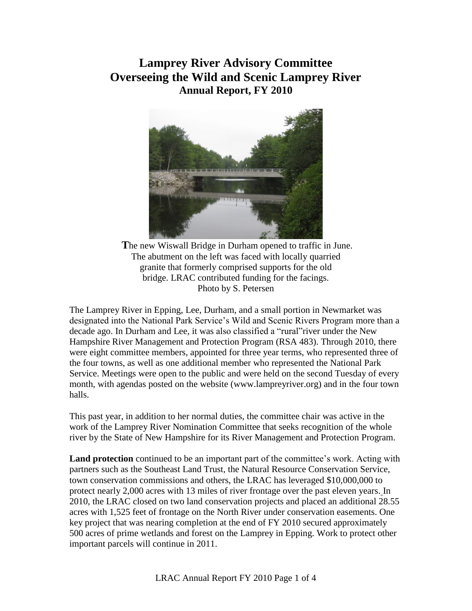## **Lamprey River Advisory Committee Overseeing the Wild and Scenic Lamprey River Annual Report, FY 2010**



**T**he new Wiswall Bridge in Durham opened to traffic in June. The abutment on the left was faced with locally quarried granite that formerly comprised supports for the old bridge. LRAC contributed funding for the facings. Photo by S. Petersen

The Lamprey River in Epping, Lee, Durham, and a small portion in Newmarket was designated into the National Park Service's Wild and Scenic Rivers Program more than a decade ago. In Durham and Lee, it was also classified a "rural"river under the New Hampshire River Management and Protection Program (RSA 483). Through 2010, there were eight committee members, appointed for three year terms, who represented three of the four towns, as well as one additional member who represented the National Park Service. Meetings were open to the public and were held on the second Tuesday of every month, with agendas posted on the website (www.lampreyriver.org) and in the four town halls.

This past year, in addition to her normal duties, the committee chair was active in the work of the Lamprey River Nomination Committee that seeks recognition of the whole river by the State of New Hampshire for its River Management and Protection Program.

**Land protection** continued to be an important part of the committee's work. Acting with partners such as the Southeast Land Trust, the Natural Resource Conservation Service, town conservation commissions and others, the LRAC has leveraged \$10,000,000 to protect nearly 2,000 acres with 13 miles of river frontage over the past eleven years. In 2010, the LRAC closed on two land conservation projects and placed an additional 28.55 acres with 1,525 feet of frontage on the North River under conservation easements. One key project that was nearing completion at the end of FY 2010 secured approximately 500 acres of prime wetlands and forest on the Lamprey in Epping. Work to protect other important parcels will continue in 2011.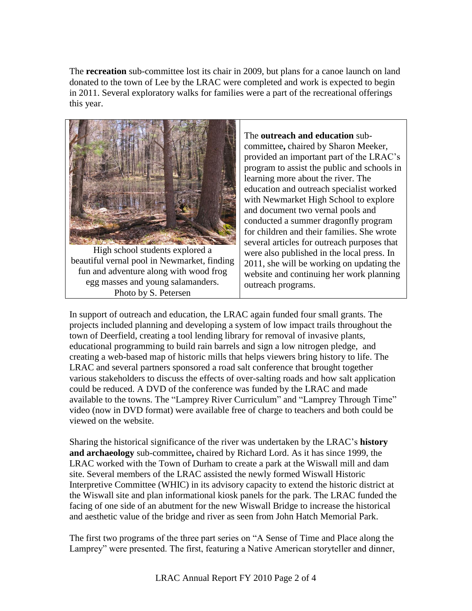The **recreation** sub-committee lost its chair in 2009, but plans for a canoe launch on land donated to the town of Lee by the LRAC were completed and work is expected to begin in 2011. Several exploratory walks for families were a part of the recreational offerings this year.



High school students explored a beautiful vernal pool in Newmarket, finding fun and adventure along with wood frog egg masses and young salamanders. Photo by S. Petersen

The **outreach and education** subcommittee**,** chaired by Sharon Meeker, provided an important part of the LRAC's program to assist the public and schools in learning more about the river. The education and outreach specialist worked with Newmarket High School to explore and document two vernal pools and conducted a summer dragonfly program for children and their families. She wrote several articles for outreach purposes that were also published in the local press. In 2011, she will be working on updating the website and continuing her work planning outreach programs.

In support of outreach and education, the LRAC again funded four small grants. The projects included planning and developing a system of low impact trails throughout the town of Deerfield, creating a tool lending library for removal of invasive plants, educational programming to build rain barrels and sign a low nitrogen pledge, and creating a web-based map of historic mills that helps viewers bring history to life. The LRAC and several partners sponsored a road salt conference that brought together various stakeholders to discuss the effects of over-salting roads and how salt application could be reduced. A DVD of the conference was funded by the LRAC and made available to the towns. The "Lamprey River Curriculum" and "Lamprey Through Time" video (now in DVD format) were available free of charge to teachers and both could be viewed on the website.

Sharing the historical significance of the river was undertaken by the LRAC's **history and archaeology** sub-committee**,** chaired by Richard Lord. As it has since 1999, the LRAC worked with the Town of Durham to create a park at the Wiswall mill and dam site. Several members of the LRAC assisted the newly formed Wiswall Historic Interpretive Committee (WHIC) in its advisory capacity to extend the historic district at the Wiswall site and plan informational kiosk panels for the park. The LRAC funded the facing of one side of an abutment for the new Wiswall Bridge to increase the historical and aesthetic value of the bridge and river as seen from John Hatch Memorial Park.

The first two programs of the three part series on "A Sense of Time and Place along the Lamprey" were presented. The first, featuring a Native American storyteller and dinner,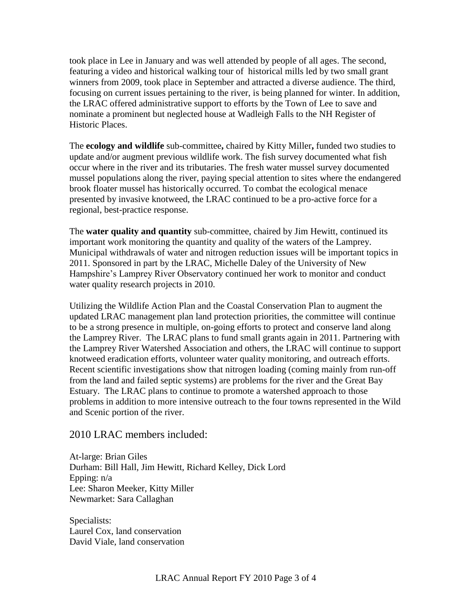took place in Lee in January and was well attended by people of all ages. The second, featuring a video and historical walking tour of historical mills led by two small grant winners from 2009, took place in September and attracted a diverse audience. The third, focusing on current issues pertaining to the river, is being planned for winter. In addition, the LRAC offered administrative support to efforts by the Town of Lee to save and nominate a prominent but neglected house at Wadleigh Falls to the NH Register of Historic Places.

The **ecology and wildlife** sub-committee**,** chaired by Kitty Miller**,** funded two studies to update and/or augment previous wildlife work. The fish survey documented what fish occur where in the river and its tributaries. The fresh water mussel survey documented mussel populations along the river, paying special attention to sites where the endangered brook floater mussel has historically occurred. To combat the ecological menace presented by invasive knotweed, the LRAC continued to be a pro-active force for a regional, best-practice response.

The **water quality and quantity** sub-committee, chaired by Jim Hewitt, continued its important work monitoring the quantity and quality of the waters of the Lamprey. Municipal withdrawals of water and nitrogen reduction issues will be important topics in 2011. Sponsored in part by the LRAC, Michelle Daley of the University of New Hampshire's Lamprey River Observatory continued her work to monitor and conduct water quality research projects in 2010.

Utilizing the Wildlife Action Plan and the Coastal Conservation Plan to augment the updated LRAC management plan land protection priorities, the committee will continue to be a strong presence in multiple, on-going efforts to protect and conserve land along the Lamprey River. The LRAC plans to fund small grants again in 2011. Partnering with the Lamprey River Watershed Association and others, the LRAC will continue to support knotweed eradication efforts, volunteer water quality monitoring, and outreach efforts. Recent scientific investigations show that nitrogen loading (coming mainly from run-off from the land and failed septic systems) are problems for the river and the Great Bay Estuary. The LRAC plans to continue to promote a watershed approach to those problems in addition to more intensive outreach to the four towns represented in the Wild and Scenic portion of the river.

## 2010 LRAC members included:

At-large: Brian Giles Durham: Bill Hall, Jim Hewitt, Richard Kelley, Dick Lord Epping: n/a Lee: Sharon Meeker, Kitty Miller Newmarket: Sara Callaghan

Specialists: Laurel Cox, land conservation David Viale, land conservation